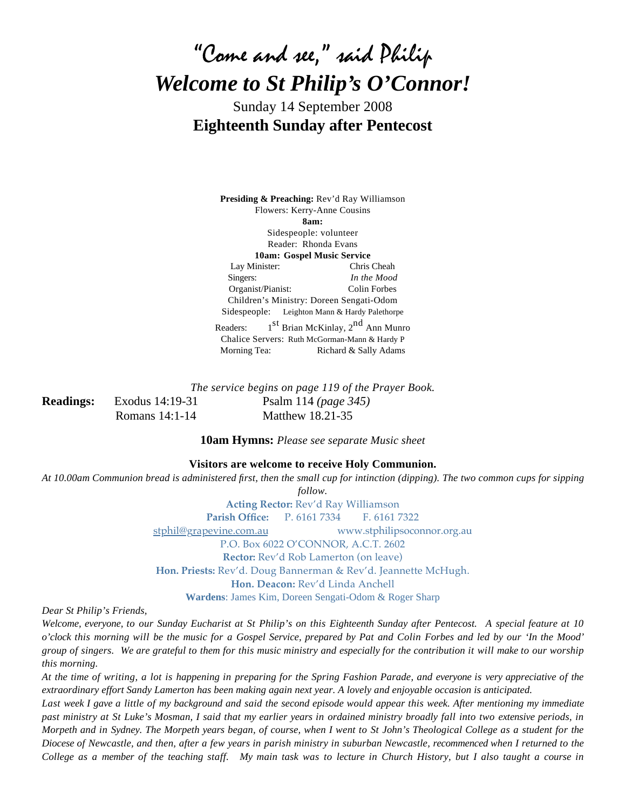# "Come and see," said Philip *Welcome to St Philip's O'Connor!*

Sunday 14 September 2008 **Eighteenth Sunday after Pentecost**

**Presiding & Preaching:** Rev'd Ray Williamson Flowers: Kerry-Anne Cousins **8am:** Sidespeople: volunteer Reader: Rhonda Evans **10am: Gospel Music Service** Lay Minister: Chris Cheah Singers: *In the Mood* Organist/Pianist: Colin Forbes Children's Ministry: Doreen Sengati-Odom Sidespeople: Leighton Mann & Hardy Palethorpe Readers:  $1<sup>st</sup> Brian McKinlay, 2<sup>nd</sup> Ann Munro$ Chalice Servers: Ruth McGorman-Mann & Hardy P Morning Tea: Richard & Sally Adams

*The service begins on page 119 of the Prayer Book.* **Readings:** Exodus 14:19-31 Psalm 114 *(page 345)* Romans 14:1-14 Matthew 18.21-35

**10am Hymns:** *Please see separate Music sheet*

#### **Visitors are welcome to receive Holy Communion.**

*At 10.00am Communion bread is administered first, then the small cup for intinction (dipping). The two common cups for sipping* 

*follow.*

**Acting Rector:** Rev'd Ray Williamson **Parish Office:** P. 6161 7334 F. 6161 7322 [stphil@grapevine.com.au](mailto:stphil@grapevine.com.au) [www.stphilipsoconnor.org.au](http://www.stphilipsoconnor.org.au) P.O. Box 6022 O'CONNOR, A.C.T. 2602 **Rector:** Rev'd Rob Lamerton (on leave) **Hon. Priests:** Rev'd. Doug Bannerman & Rev'd. Jeannette McHugh. **Hon. Deacon:** Rev'd Linda Anchell

**Wardens**: James Kim, Doreen Sengati-Odom & Roger Sharp

*Dear St Philip's Friends,*

*Welcome, everyone, to our Sunday Eucharist at St Philip's on this Eighteenth Sunday after Pentecost. A special feature at 10 o'clock this morning will be the music for a Gospel Service, prepared by Pat and Colin Forbes and led by our 'In the Mood' group of singers. We are grateful to them for this music ministry and especially for the contribution it will make to our worship this morning.*

*At the time of writing, a lot is happening in preparing for the Spring Fashion Parade, and everyone is very appreciative of the extraordinary effort Sandy Lamerton has been making again next year. A lovely and enjoyable occasion is anticipated.*

Last week I gave a little of my background and said the second episode would appear this week. After mentioning my immediate *past ministry at St Luke's Mosman, I said that my earlier years in ordained ministry broadly fall into two extensive periods, in Morpeth and in Sydney. The Morpeth years began, of course, when I went to St John's Theological College as a student for the Diocese of Newcastle, and then, after a few years in parish ministry in suburban Newcastle, recommenced when I returned to the College as a member of the teaching staff. My main task was to lecture in Church History, but I also taught a course in*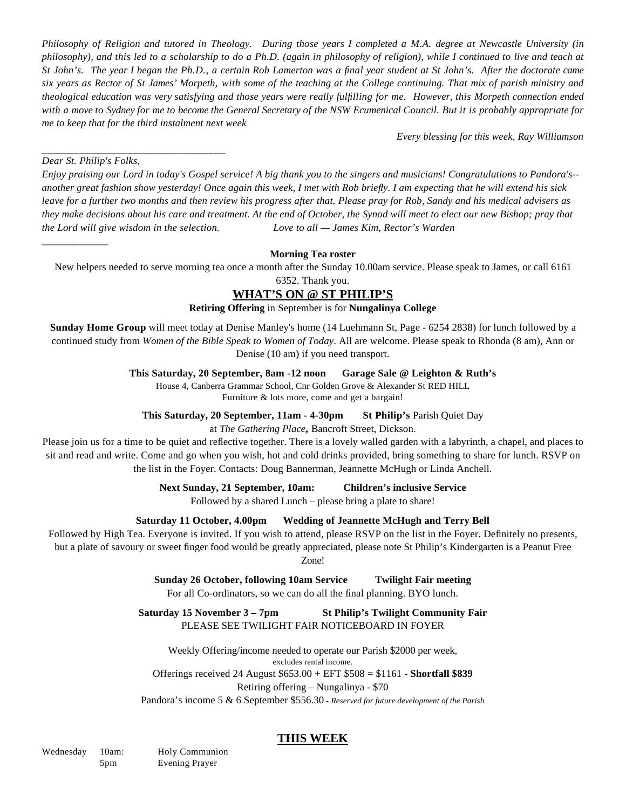*Philosophy of Religion and tutored in Theology. During those years I completed a M.A. degree at Newcastle University (in philosophy), and this led to a scholarship to do a Ph.D. (again in philosophy of religion), while I continued to live and teach at St John's. The year I began the Ph.D., a certain Rob Lamerton was a final year student at St John's. After the doctorate came six years as Rector of St James' Morpeth, with some of the teaching at the College continuing. That mix of parish ministry and theological education was very satisfying and those years were really fulfilling for me. However, this Morpeth connection ended with a move to Sydney for me to become the General Secretary of the NSW Ecumenical Council. But it is probably appropriate for me to keep that for the third instalment next week*

*Every blessing for this week, Ray Williamson*

*Dear St. Philip's Folks,*

 $\overline{\phantom{a}}$ 

\_\_\_\_\_\_\_\_\_\_\_\_\_\_\_\_\_\_\_\_\_\_\_\_\_\_\_\_\_\_

*Enjoy praising our Lord in today's Gospel service! A big thank you to the singers and musicians! Congratulations to Pandora's- another great fashion show yesterday! Once again this week, I met with Rob briefly. I am expecting that he will extend his sick leave for a further two months and then review his progress after that. Please pray for Rob, Sandy and his medical advisers as they make decisions about his care and treatment. At the end of October, the Synod will meet to elect our new Bishop; pray that the Lord will give wisdom in the selection. Love to all — James Kim, Rector's Warden*

#### **Morning Tea roster**

New helpers needed to serve morning tea once a month after the Sunday 10.00am service. Please speak to James, or call 6161

6352. Thank you.

# **WHAT'S ON @ ST PHILIP'S**

#### **Retiring Offering** in September is for **Nungalinya College**

**Sunday Home Group** will meet today at Denise Manley's home (14 Luehmann St, Page - 6254 2838) for lunch followed by a continued study from *Women of the Bible Speak to Women of Today*. All are welcome. Please speak to Rhonda (8 am), Ann or Denise (10 am) if you need transport.

#### **This Saturday, 20 September, 8am -12 noon Garage Sale @ Leighton & Ruth's**

House 4, Canberra Grammar School, Cnr Golden Grove & Alexander St RED HILL

Furniture & lots more, come and get a bargain!

**This Saturday, 20 September, 11am - 4-30pm St Philip's** Parish Quiet Day

at *The Gathering Place***,** Bancroft Street, Dickson.

Please join us for a time to be quiet and reflective together. There is a lovely walled garden with a labyrinth, a chapel, and places to sit and read and write. Come and go when you wish, hot and cold drinks provided, bring something to share for lunch. RSVP on the list in the Foyer. Contacts: Doug Bannerman, Jeannette McHugh or Linda Anchell.

**Next Sunday, 21 September, 10am: Children's inclusive Service**

Followed by a shared Lunch – please bring a plate to share!

#### **Saturday 11 October, 4.00pm Wedding of Jeannette McHugh and Terry Bell**

Followed by High Tea. Everyone is invited. If you wish to attend, please RSVP on the list in the Foyer. Definitely no presents,

but a plate of savoury or sweet finger food would be greatly appreciated, please note St Philip's Kindergarten is a Peanut Free

Zone!

#### **Sunday 26 October, following 10am Service Twilight Fair meeting**

For all Co-ordinators, so we can do all the final planning. BYO lunch.

**Saturday 15 November 3 – 7pm St Philip's Twilight Community Fair** PLEASE SEE TWILIGHT FAIR NOTICEBOARD IN FOYER

Weekly Offering/income needed to operate our Parish \$2000 per week, excludes rental income. Offerings received 24 August \$653.00 + EFT \$508 = \$1161 - **Shortfall \$839** Retiring offering – Nungalinya - \$70 Pandora's income 5 & 6 September \$556.30 - *Reserved for future development of the Parish*

# **THIS WEEK**